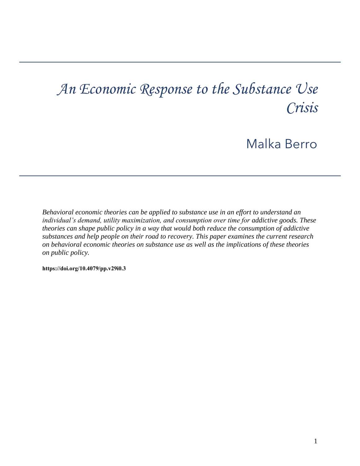# *An Economic Response to the Substance Use Crisis*

# Malka Berro

*Behavioral economic theories can be applied to substance use in an effort to understand an individual's demand, utility maximization, and consumption over time for addictive goods. These theories can shape public policy in a way that would both reduce the consumption of addictive substances and help people on their road to recovery. This paper examines the current research on behavioral economic theories on substance use as well as the implications of these theories on public policy.* 

**[https://doi.org/10.4079/pp.v29i0.3](https://doi.org/10.4079/pp.v28i0.9)**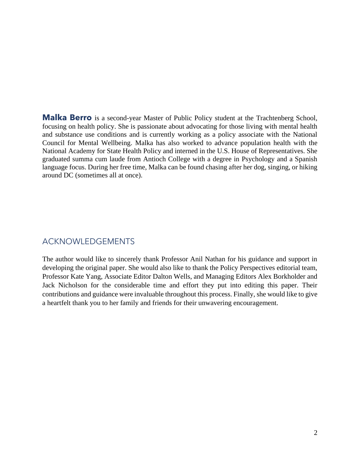and substance use conditions and is currently working as a policy associate with the National Council for Mental Wellbeing. Malka has also worked to advance population health with the graduated summa cum laude from Antioch College with a degree in Psychology and a Spanish language focus. During her free time, Malka can be found chasing after her dog, singing, or hiking **Malka Berro** is a second-year Master of Public Policy student at the Trachtenberg School, focusing on health policy. She is passionate about advocating for those living with mental health National Academy for State Health Policy and interned in the U.S. House of Representatives. She around DC (sometimes all at once).

# ACKNOWLEDGEMENTS

 Professor Kate Yang, Associate Editor Dalton Wells, and Managing Editors Alex Borkholder and contributions and guidance were invaluable throughout this process. Finally, she would like to give The author would like to sincerely thank Professor Anil Nathan for his guidance and support in developing the original paper. She would also like to thank the Policy Perspectives editorial team, Jack Nicholson for the considerable time and effort they put into editing this paper. Their a heartfelt thank you to her family and friends for their unwavering encouragement.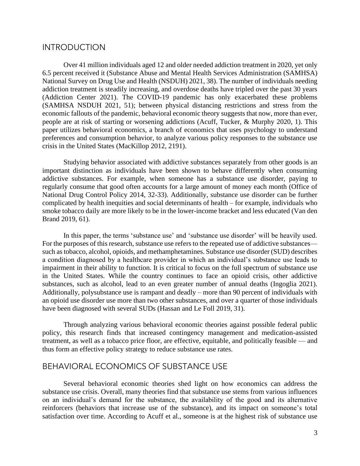# **INTRODUCTION**

 National Survey on Drug Use and Health (NSDUH) 2021, 38). The number of individuals needing economic fallouts of the pandemic, behavioral economic theory suggests that now, more than ever, people are at risk of starting or worsening addictions (Acuff, Tucker, & Murphy 2020, 1). This preferences and consumption behavior, to analyze various policy responses to the substance use Over 41 million individuals aged 12 and older needed addiction treatment in 2020, yet only 6.5 percent received it (Substance Abuse and Mental Health Services Administration (SAMHSA) addiction treatment is steadily increasing, and overdose deaths have tripled over the past 30 years (Addiction Center 2021). The COVID-19 pandemic has only exacerbated these problems (SAMHSA NSDUH 2021, 51); between physical distancing restrictions and stress from the paper utilizes behavioral economics, a branch of economics that uses psychology to understand crisis in the United States (MacKillop 2012, 2191).

 addictive substances. For example, when someone has a substance use disorder, paying to regularly consume that good often accounts for a large amount of money each month (Office of National Drug Control Policy 2014, 32-33). Additionally, substance use disorder can be further smoke tobacco daily are more likely to be in the lower-income bracket and less educated (Van den Studying behavior associated with addictive substances separately from other goods is an important distinction as individuals have been shown to behave differently when consuming complicated by health inequities and social determinants of health – for example, individuals who Brand 2019, 61).

 In this paper, the terms 'substance use' and 'substance use disorder' will be heavily used. For the purposes of this research, substance use refers to the repeated use of addictive substances— such as tobacco, alcohol, opioids, and methamphetamines. Substance use disorder (SUD) describes a condition diagnosed by a healthcare provider in which an individual's substance use leads to impairment in their ability to function. It is critical to focus on the full spectrum of substance use in the United States. While the country continues to face an opioid crisis, other addictive substances, such as alcohol, lead to an even greater number of annual deaths (Ingoglia 2021). Additionally, polysubstance use is rampant and deadly – more than 90 percent of individuals with an opioid use disorder use more than two other substances, and over a quarter of those individuals have been diagnosed with several SUDs (Hassan and Le Foll 2019, 31).

 Through analyzing various behavioral economic theories against possible federal public treatment, as well as a tobacco price floor, are effective, equitable, and politically feasible — and policy, this research finds that increased contingency management and medication-assisted thus form an effective policy strategy to reduce substance use rates.

# BEHAVIORAL ECONOMICS OF SUBSTANCE USE

 substance use crisis. Overall, many theories find that substance use stems from various influences on an individual's demand for the substance, the availability of the good and its alternative reinforcers (behaviors that increase use of the substance), and its impact on someone's total satisfaction over time. According to Acuff et al., someone is at the highest risk of substance use Several behavioral economic theories shed light on how economics can address the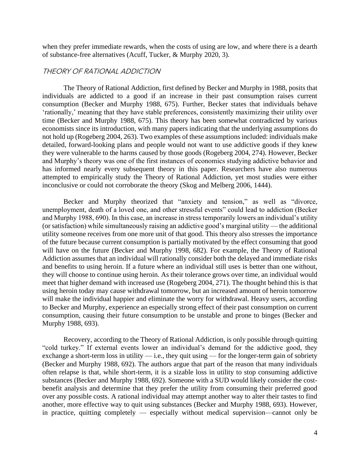when they prefer immediate rewards, when the costs of using are low, and where there is a dearth of substance-free alternatives (Acuff, Tucker, & Murphy 2020, 3).

#### THEORY OF RATIONAL ADDICTION

 individuals are addicted to a good if an increase in their past consumption raises current consumption (Becker and Murphy 1988, 675). Further, Becker states that individuals behave 'rationally,' meaning that they have stable preferences, consistently maximizing their utility over economists since its introduction, with many papers indicating that the underlying assumptions do detailed, forward-looking plans and people would not want to use addictive goods if they knew they were vulnerable to the harms caused by those goods (Rogeberg 2004, 274). However, Becker has informed nearly every subsequent theory in this paper. Researchers have also numerous attempted to empirically study the Theory of Rational Addiction, yet most studies were either The Theory of Rational Addiction, first defined by Becker and Murphy in 1988, posits that time (Becker and Murphy 1988, 675). This theory has been somewhat contradicted by various not hold up (Rogeberg 2004, 263). Two examples of these assumptions included: individuals make and Murphy's theory was one of the first instances of economics studying addictive behavior and inconclusive or could not corroborate the theory (Skog and Melberg 2006, 1444).

 utility someone receives from one more unit of that good. This theory also stresses the importance of the future because current consumption is partially motivated by the effect consuming that good will have on the future (Becker and Murphy 1998, 682). For example, the Theory of Rational and benefits to using heroin. If a future where an individual still uses is better than one without, they will choose to continue using heroin. As their tolerance grows over time, an individual would meet that higher demand with increased use (Rogeberg 2004, 271). The thought behind this is that will make the individual happier and eliminate the worry for withdrawal. Heavy users, according consumption, causing their future consumption to be unstable and prone to binges (Becker and Becker and Murphy theorized that "anxiety and tension," as well as "divorce, unemployment, death of a loved one, and other stressful events" could lead to addiction (Becker and Murphy 1988, 690). In this case, an increase in stress temporarily lowers an individual's utility (or satisfaction) while simultaneously raising an addictive good's marginal utility — the additional Addiction assumes that an individual will rationally consider both the delayed and immediate risks using heroin today may cause withdrawal tomorrow, but an increased amount of heroin tomorrow to Becker and Murphy, experience an especially strong effect of their past consumption on current Murphy 1988, 693).

 Recovery, according to the Theory of Rational Addiction, is only possible through quitting "cold turkey." If external events lower an individual's demand for the addictive good, they exchange a short-term loss in utility — i.e., they quit using — for the longer-term gain of sobriety (Becker and Murphy 1988, 692). The authors argue that part of the reason that many individuals often relapse is that, while short-term, it is a sizable loss in utility to stop consuming addictive substances (Becker and Murphy 1988, 692). Someone with a SUD would likely consider the cost- benefit analysis and determine that they prefer the utility from consuming their preferred good another, more effective way to quit using substances (Becker and Murphy 1988, 693). However, over any possible costs. A rational individual may attempt another way to alter their tastes to find in practice, quitting completely — especially without medical supervision—cannot only be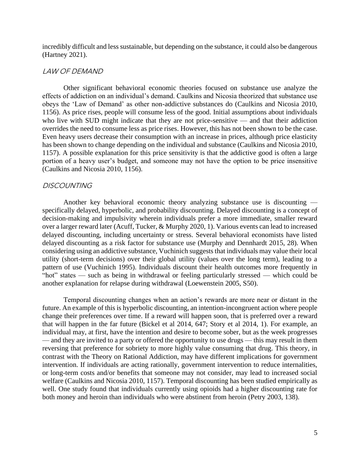incredibly difficult and less sustainable, but depending on the substance, it could also be dangerous (Hartney 2021).

#### LAW OF DEMAND

 Other significant behavioral economic theories focused on substance use analyze the effects of addiction on an individual's demand. Caulkins and Nicosia theorized that substance use obeys the 'Law of Demand' as other non-addictive substances do (Caulkins and Nicosia 2010, 1156). As price rises, people will consume less of the good. Initial assumptions about individuals who live with SUD might indicate that they are not price-sensitive — and that their addiction overrides the need to consume less as price rises. However, this has not been shown to be the case. Even heavy users decrease their consumption with an increase in prices, although price elasticity has been shown to change depending on the individual and substance (Caulkins and Nicosia 2010, 1157). A possible explanation for this price sensitivity is that the addictive good is often a large portion of a heavy user's budget, and someone may not have the option to be price insensitive (Caulkins and Nicosia 2010, 1156).

#### **DISCOUNTING**

 Another key behavioral economic theory analyzing substance use is discounting — decision-making and impulsivity wherein individuals prefer a more immediate, smaller reward delayed discounting, including uncertainty or stress. Several behavioral economists have listed delayed discounting as a risk factor for substance use (Murphy and Dennhardt 2015, 28). When considering using an addictive substance, Vuchinich suggests that individuals may value their local specifically delayed, hyperbolic, and probability discounting. Delayed discounting is a concept of over a larger reward later (Acuff, Tucker, & Murphy 2020, 1). Various events can lead to increased utility (short-term decisions) over their global utility (values over the long term), leading to a pattern of use (Vuchinich 1995). Individuals discount their health outcomes more frequently in "hot" states — such as being in withdrawal or feeling particularly stressed — which could be another explanation for relapse during withdrawal (Loewenstein 2005, S50).

 Temporal discounting changes when an action's rewards are more near or distant in the future. An example of this is hyperbolic discounting, an intention-incongruent action where people change their preferences over time. If a reward will happen soon, that is preferred over a reward — and they are invited to a party or offered the opportunity to use drugs — this may result in them reversing that preference for sobriety to more highly value consuming that drug. This theory, in or long-term costs and/or benefits that someone may not consider, may lead to increased social well. One study found that individuals currently using opioids had a higher discounting rate for that will happen in the far future (Bickel et al 2014, 647; Story et al 2014, 1). For example, an individual may, at first, have the intention and desire to become sober, but as the week progresses contrast with the Theory on Rational Addiction, may have different implications for government intervention. If individuals are acting rationally, government intervention to reduce internalities, welfare (Caulkins and Nicosia 2010, 1157). Temporal discounting has been studied empirically as both money and heroin than individuals who were abstinent from heroin (Petry 2003, 138).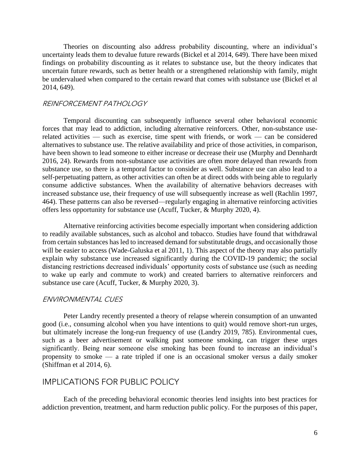uncertain future rewards, such as better health or a strengthened relationship with family, might be undervalued when compared to the certain reward that comes with substance use (Bickel et al Theories on discounting also address probability discounting, where an individual's uncertainty leads them to devalue future rewards (Bickel et al 2014, 649). There have been mixed findings on probability discounting as it relates to substance use, but the theory indicates that 2014, 649).

#### REINFORCEMENT PATHOLOGY

 related activities — such as exercise, time spent with friends, or work — can be considered have been shown to lead someone to either increase or decrease their use (Murphy and Dennhardt 2016, 24). Rewards from non-substance use activities are often more delayed than rewards from substance use, so there is a temporal factor to consider as well. Substance use can also lead to a self-perpetuating pattern, as other activities can often be at direct odds with being able to regularly increased substance use, their frequency of use will subsequently increase as well (Rachlin 1997, Temporal discounting can subsequently influence several other behavioral economic forces that may lead to addiction, including alternative reinforcers. Other, non-substance usealternatives to substance use. The relative availability and price of those activities, in comparison, consume addictive substances. When the availability of alternative behaviors decreases with 464). These patterns can also be reversed—regularly engaging in alternative reinforcing activities offers less opportunity for substance use (Acuff, Tucker, & Murphy 2020, 4).

 to readily available substances, such as alcohol and tobacco. Studies have found that withdrawal explain why substance use increased significantly during the COVID-19 pandemic; the social distancing restrictions decreased individuals' opportunity costs of substance use (such as needing to wake up early and commute to work) and created barriers to alternative reinforcers and Alternative reinforcing activities become especially important when considering addiction from certain substances has led to increased demand for substitutable drugs, and occasionally those will be easier to access (Wade-Galuska et al 2011, 1). This aspect of the theory may also partially substance use care (Acuff, Tucker, & Murphy 2020, 3).

#### ENVIRONMENTAL CUES

 Peter Landry recently presented a theory of relapse wherein consumption of an unwanted but ultimately increase the long-run frequency of use (Landry 2019, 785). Environmental cues, significantly. Being near someone else smoking has been found to increase an individual's propensity to smoke — a rate tripled if one is an occasional smoker versus a daily smoker good (i.e., consuming alcohol when you have intentions to quit) would remove short-run urges, such as a beer advertisement or walking past someone smoking, can trigger these urges (Shiffman et al 2014, 6).

### IMPLICATIONS FOR PUBLIC POLICY

Each of the preceding behavioral economic theories lend insights into best practices for addiction prevention, treatment, and harm reduction public policy. For the purposes of this paper,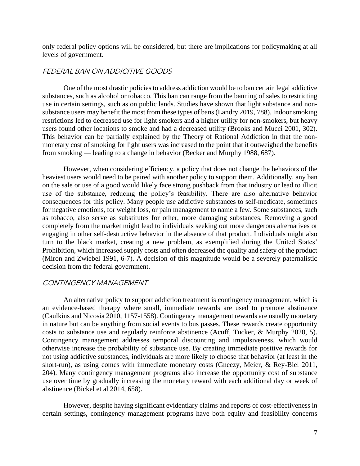only federal policy options will be considered, but there are implications for policymaking at all levels of government.

#### FEDERAL BAN ON ADDICITIVE GOODS

 One of the most drastic policies to address addiction would be to ban certain legal addictive use in certain settings, such as on public lands. Studies have shown that light substance and non- substance users may benefit the most from these types of bans (Landry 2019, 788). Indoor smoking restrictions led to decreased use for light smokers and a higher utility for non-smokers, but heavy users found other locations to smoke and had a decreased utility (Brooks and Mucci 2001, 302). monetary cost of smoking for light users was increased to the point that it outweighed the benefits substances, such as alcohol or tobacco. This ban can range from the banning of sales to restricting This behavior can be partially explained by the Theory of Rational Addiction in that the nonfrom smoking — leading to a change in behavior (Becker and Murphy 1988, 687).

 on the sale or use of a good would likely face strong pushback from that industry or lead to illicit use of the substance, reducing the policy's feasibility. There are also alternative behavior consequences for this policy. Many people use addictive substances to self-medicate, sometimes for negative emotions, for weight loss, or pain management to name a few. Some substances, such as tobacco, also serve as substitutes for other, more damaging substances. Removing a good Prohibition, which increased supply costs and often decreased the quality and safety of the product (Miron and Zwiebel 1991, 6-7). A decision of this magnitude would be a severely paternalistic However, when considering efficiency, a policy that does not change the behaviors of the heaviest users would need to be paired with another policy to support them. Additionally, any ban completely from the market might lead to individuals seeking out more dangerous alternatives or engaging in other self-destructive behavior in the absence of that product. Individuals might also turn to the black market, creating a new problem, as exemplified during the United States' decision from the federal government.

#### CONTINGENCY MANAGEMENT

 in nature but can be anything from social events to bus passes. These rewards create opportunity costs to substance use and regularly reinforce abstinence (Acuff, Tucker, & Murphy 2020, 5). otherwise increase the probability of substance use. By creating immediate positive rewards for not using addictive substances, individuals are more likely to choose that behavior (at least in the An alternative policy to support addiction treatment is contingency management, which is an evidence-based therapy where small, immediate rewards are used to promote abstinence (Caulkins and Nicosia 2010, 1157-1558). Contingency management rewards are usually monetary Contingency management addresses temporal discounting and impulsiveness, which would short-run), as using comes with immediate monetary costs (Gneezy, Meier, & Rey-Biel 2011, 204). Many contingency management programs also increase the opportunity cost of substance use over time by gradually increasing the monetary reward with each additional day or week of abstinence (Bickel et al 2014, 658).

However, despite having significant evidentiary claims and reports of cost-effectiveness in certain settings, contingency management programs have both equity and feasibility concerns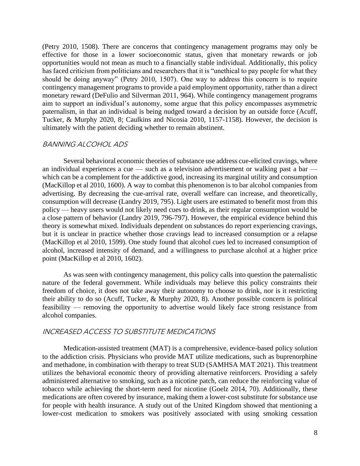effective for those in a lower socioeconomic status, given that monetary rewards or job opportunities would not mean as much to a financially stable individual. Additionally, this policy contingency management programs to provide a paid employment opportunity, rather than a direct monetary reward (DeFulio and Silverman 2011, 964). While contingency management programs paternalism, in that an individual is being nudged toward a decision by an outside force (Acuff, (Petry 2010, 1508). There are concerns that contingency management programs may only be has faced criticism from politicians and researchers that it is "unethical to pay people for what they should be doing anyway" (Petry 2010, 1507). One way to address this concern is to require aim to support an individual's autonomy, some argue that this policy encompasses asymmetric Tucker, & Murphy 2020, 8; Caulkins and Nicosia 2010, 1157-1158). However, the decision is ultimately with the patient deciding whether to remain abstinent.

#### BANNING ALCOHOL ADS

 Several behavioral economic theories of substance use address cue-elicited cravings, where an individual experiences a cue — such as a television advertisement or walking past a bar — which can be a complement for the addictive good, increasing its marginal utility and consumption advertising. By decreasing the cue-arrival rate, overall welfare can increase, and theoretically, consumption will decrease (Landry 2019, 795). Light users are estimated to benefit most from this policy — heavy users would not likely need cues to drink, as their regular consumption would be but it is unclear in practice whether those cravings lead to increased consumption or a relapse (MacKillop et al 2010, 1599). One study found that alcohol cues led to increased consumption of alcohol, increased intensity of demand, and a willingness to purchase alcohol at a higher price (MacKillop et al 2010, 1600). A way to combat this phenomenon is to bar alcohol companies from a close pattern of behavior (Landry 2019, 796-797). However, the empirical evidence behind this theory is somewhat mixed. Individuals dependent on substances do report experiencing cravings, point (MacKillop et al 2010, 1602).

 As was seen with contingency management, this policy calls into question the paternalistic freedom of choice, it does not take away their autonomy to choose to drink, nor is it restricting nature of the federal government. While individuals may believe this policy constraints their their ability to do so (Acuff, Tucker, & Murphy 2020, 8). Another possible concern is political feasibility — removing the opportunity to advertise would likely face strong resistance from alcohol companies.

#### INCREASED ACCESS TO SUBSTITUTE MEDICATIONS

 administered alternative to smoking, such as a nicotine patch, can reduce the reinforcing value of medications are often covered by insurance, making them a lower-cost substitute for substance use for people with health insurance. A study out of the United Kingdom showed that mentioning a Medication-assisted treatment (MAT) is a comprehensive, evidence-based policy solution to the addiction crisis. Physicians who provide MAT utilize medications, such as buprenorphine and methadone, in combination with therapy to treat SUD (SAMHSA MAT 2021). This treatment utilizes the behavioral economic theory of providing alternative reinforcers. Providing a safely tobacco while achieving the short-term need for nicotine (Goelz 2014, 70). Additionally, these lower-cost medication to smokers was positively associated with using smoking cessation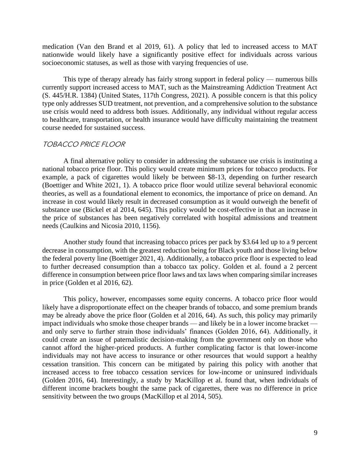nationwide would likely have a significantly positive effect for individuals across various medication (Van den Brand et al 2019, 61). A policy that led to increased access to MAT socioeconomic statuses, as well as those with varying frequencies of use.

 type only addresses SUD treatment, not prevention, and a comprehensive solution to the substance use crisis would need to address both issues. Additionally, any individual without regular access to healthcare, transportation, or health insurance would have difficulty maintaining the treatment This type of therapy already has fairly strong support in federal policy — numerous bills currently support increased access to MAT, such as the Mainstreaming Addiction Treatment Act (S. 445/H.R. 1384) (United States, 117th Congress, 2021). A possible concern is that this policy course needed for sustained success.

#### TOBACCO PRICE FLOOR

 A final alternative policy to consider in addressing the substance use crisis is instituting a national tobacco price floor. This policy would create minimum prices for tobacco products. For example, a pack of cigarettes would likely be between \$8-13, depending on further research (Boettiger and White 2021, 1). A tobacco price floor would utilize several behavioral economic theories, as well as a foundational element to economics, the importance of price on demand. An substance use (Bickel et al 2014, 645). This policy would be cost-effective in that an increase in increase in cost would likely result in decreased consumption as it would outweigh the benefit of the price of substances has been negatively correlated with hospital admissions and treatment needs (Caulkins and Nicosia 2010, 1156).

 Another study found that increasing tobacco prices per pack by \$3.64 led up to a 9 percent the federal poverty line (Boettiger 2021, 4). Additionally, a tobacco price floor is expected to lead to further decreased consumption than a tobacco tax policy. Golden et al. found a 2 percent difference in consumption between price floor laws and tax laws when comparing similar increases decrease in consumption, with the greatest reduction being for Black youth and those living below in price (Golden et al 2016, 62).

 This policy, however, encompasses some equity concerns. A tobacco price floor would may be already above the price floor (Golden et al 2016, 64). As such, this policy may primarily impact individuals who smoke those cheaper brands — and likely be in a lower income bracket — and only serve to further strain those individuals' finances (Golden 2016, 64). Additionally, it could create an issue of paternalistic decision-making from the government only on those who individuals may not have access to insurance or other resources that would support a healthy cessation transition. This concern can be mitigated by pairing this policy with another that (Golden 2016, 64). Interestingly, a study by MacKillop et al. found that, when individuals of different income brackets bought the same pack of cigarettes, there was no difference in price likely have a disproportionate effect on the cheaper brands of tobacco, and some premium brands cannot afford the higher-priced products. A further complicating factor is that lower-income increased access to free tobacco cessation services for low-income or uninsured individuals sensitivity between the two groups (MacKillop et al 2014, 505).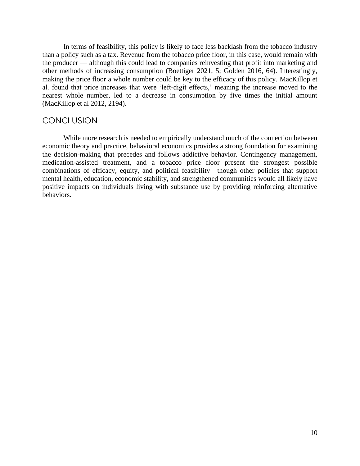In terms of feasibility, this policy is likely to face less backlash from the tobacco industry making the price floor a whole number could be key to the efficacy of this policy. MacKillop et al. found that price increases that were 'left-digit effects,' meaning the increase moved to the nearest whole number, led to a decrease in consumption by five times the initial amount than a policy such as a tax. Revenue from the tobacco price floor, in this case, would remain with the producer — although this could lead to companies reinvesting that profit into marketing and other methods of increasing consumption (Boettiger 2021, 5; Golden 2016, 64). Interestingly, (MacKillop et al 2012, 2194).

## **CONCLUSION**

 economic theory and practice, behavioral economics provides a strong foundation for examining medication-assisted treatment, and a tobacco price floor present the strongest possible positive impacts on individuals living with substance use by providing reinforcing alternative While more research is needed to empirically understand much of the connection between the decision-making that precedes and follows addictive behavior. Contingency management, combinations of efficacy, equity, and political feasibility—though other policies that support mental health, education, economic stability, and strengthened communities would all likely have behaviors.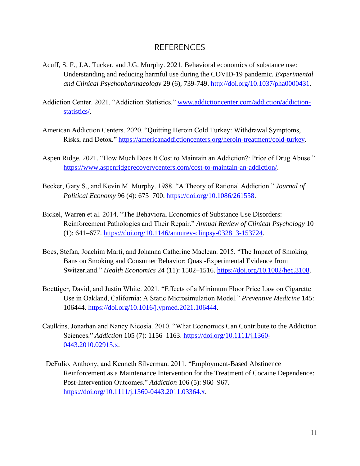# REFERENCES

- Acuff, S. F., J.A. Tucker, and J.G. Murphy. 2021. Behavioral economics of substance use: Understanding and reducing harmful use during the COVID-19 pandemic. *Experimental and Clinical Psychopharmacology* 29 (6), 739-749. [http://doi.org/10.1037/pha0000431.](http://doi.org/10.1037/pha0000431)
- Addiction Center. 2021. "Addiction Statistics." [www.addictioncenter.com/addiction/addiction](http://www.addictioncenter.com/addiction/addiction-statistics/)[statistics/.](http://www.addictioncenter.com/addiction/addiction-statistics/)
- American Addiction Centers. 2020. "Quitting Heroin Cold Turkey: Withdrawal Symptoms, Risks, and Detox." [https://americanaddictioncenters.org/heroin-treatment/cold-turkey.](https://americanaddictioncenters.org/heroin-treatment/cold-turkey)
- Aspen Ridge. 2021. "How Much Does It Cost to Maintain an Addiction?: Price of Drug Abuse." [https://www.aspenridgerecoverycenters.com/cost-to-maintain-an-addiction/.](https://www.aspenridgerecoverycenters.com/cost-to-maintain-an-addiction/)
- Becker, Gary S., and Kevin M. Murphy. 1988. "A Theory of Rational Addiction." *Journal of Political Economy* 96 (4): 675–700. [https://doi.org/10.1086/261558.](https://doi.org/10.1086/261558)
- Bickel, Warren et al. 2014. "The Behavioral Economics of Substance Use Disorders: Reinforcement Pathologies and Their Repair." *Annual Review of Clinical Psychology* 10 (1): 641–677. [https://doi.org/10.1146/annurev-clinpsy-032813-153724.](https://doi.org/10.1146/annurev-clinpsy-032813-153724)
- Boes, Stefan, Joachim Marti, and Johanna Catherine Maclean. 2015. "The Impact of Smoking Bans on Smoking and Consumer Behavior: Quasi-Experimental Evidence from Switzerland." *Health Economics* 24 (11): 1502–1516. [https://doi.org/10.1002/hec.3108.](https://doi.org/10.1002/hec.3108)
- Boettiger, David, and Justin White. 2021. "Effects of a Minimum Floor Price Law on Cigarette Use in Oakland, California: A Static Microsimulation Model." *Preventive Medicine* 145: 106444. [https://doi.org/10.1016/j.ypmed.2021.106444.](https://doi.org/10.1016/j.ypmed.2021.106444)
- Caulkins, Jonathan and Nancy Nicosia. 2010. "What Economics Can Contribute to the Addiction Sciences." *Addiction* 105 (7): 1156–1163. [https://doi.org/10.1111/j.1360-](https://doi.org/10.1111/j.1360-0443.2010.02915.x) [0443.2010.02915.x.](https://doi.org/10.1111/j.1360-0443.2010.02915.x)
- DeFulio, Anthony, and Kenneth Silverman. 2011. "Employment-Based Abstinence Reinforcement as a Maintenance Intervention for the Treatment of Cocaine Dependence: Post-Intervention Outcomes." *Addiction* 106 (5): 960–967. [https://doi.org/10.1111/j.1360-0443.2011.03364.x.](https://doi.org/10.1111/j.1360-0443.2011.03364.x)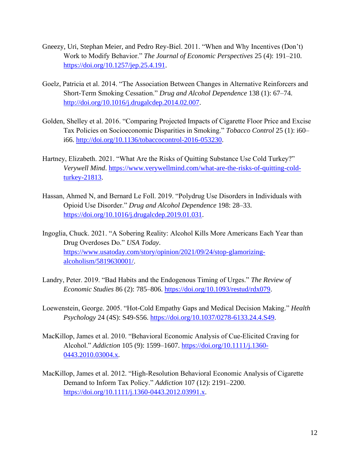- Gneezy, Uri, Stephan Meier, and Pedro Rey-Biel. 2011. "When and Why Incentives (Don't) Work to Modify Behavior." *The Journal of Economic Perspectives* 25 (4): 191–210. [https://doi.org/10.1257/jep.25.4.191.](https://doi.org/10.1257/jep.25.4.191)
- Goelz, Patricia et al. 2014. "The Association Between Changes in Alternative Reinforcers and Short-Term Smoking Cessation." *Drug and Alcohol Dependence* 138 (1): 67–74. [http://doi.org/10.1016/j.drugalcdep.2014.02.007.](http://doi.org/10.1016/j.drugalcdep.2014.02.007)
- Golden, Shelley et al. 2016. "Comparing Projected Impacts of Cigarette Floor Price and Excise Tax Policies on Socioeconomic Disparities in Smoking." *Tobacco Control* 25 (1): i60– i66. [http://doi.org/10.1136/tobaccocontrol-2016-053230.](http://doi.org/10.1136/tobaccocontrol-2016-053230)
- Hartney, Elizabeth. 2021. "What Are the Risks of Quitting Substance Use Cold Turkey?" *Verywell Mind*. [https://www.verywellmind.com/what-are-the-risks-of-quitting-cold](https://www.verywellmind.com/what-are-the-risks-of-quitting-cold-turkey-21813)[turkey-21813.](https://www.verywellmind.com/what-are-the-risks-of-quitting-cold-turkey-21813)
- Hassan, Ahmed N, and Bernard Le Foll. 2019. "Polydrug Use Disorders in Individuals with Opioid Use Disorder." *Drug and Alcohol Dependence* 198: 28–33. [https://doi.org/10.1016/j.drugalcdep.2019.01.031.](https://doi.org/10.1016/j.drugalcdep.2019.01.031)

Ingoglia, Chuck. 2021. "A Sobering Reality: Alcohol Kills More Americans Each Year than Drug Overdoses Do." *USA Today*. [https://www.usatoday.com/story/opinion/2021/09/24/stop-glamorizing](https://www.usatoday.com/story/opinion/2021/09/24/stop-glamorizing-alcoholism/5819630001/)[alcoholism/5819630001/.](https://www.usatoday.com/story/opinion/2021/09/24/stop-glamorizing-alcoholism/5819630001/)

- Landry, Peter. 2019. "Bad Habits and the Endogenous Timing of Urges." *The Review of Economic Studies* 86 (2): 785–806. [https://doi.org/10.1093/restud/rdx079.](https://doi.org/10.1093/restud/rdx079)
- Loewenstein, George. 2005. "Hot-Cold Empathy Gaps and Medical Decision Making." *Health Psychology* 24 (4S): S49-S56. [https://doi.org/10.1037/0278-6133.24.4.S49.](https://doi.org/10.1037/0278-6133.24.4.S49)
- MacKillop, James et al. 2010. "Behavioral Economic Analysis of Cue‐Elicited Craving for Alcohol." *Addiction* 105 (9): 1599–1607. [https://doi.org/10.1111/j.1360-](https://doi.org/10.1111/j.1360-0443.2010.03004.x) [0443.2010.03004.x.](https://doi.org/10.1111/j.1360-0443.2010.03004.x)
- MacKillop, James et al. 2012. "High‐Resolution Behavioral Economic Analysis of Cigarette Demand to Inform Tax Policy." *Addiction* 107 (12): 2191–2200. [https://doi.org/10.1111/j.1360-0443.2012.03991.x.](https://doi.org/10.1111/j.1360-0443.2012.03991.x)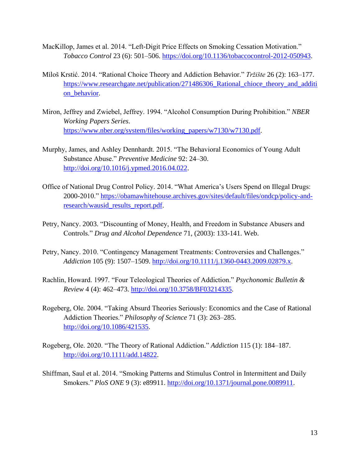- MacKillop, James et al. 2014. "Left-Digit Price Effects on Smoking Cessation Motivation." *Tobacco Control* 23 (6): 501–506. [https://doi.org/10.1136/tobaccocontrol-2012-050943.](https://doi.org/10.1136/tobaccocontrol-2012-050943)
- Miloš Krstić. 2014. "Rational Choice Theory and Addiction Behavior." *Tržište* 26 (2): 163–177. https://www.researchgate.net/publication/271486306\_Rational\_chioce\_theory\_and\_additi [on\\_behavior.](https://www.researchgate.net/publication/271486306_Rational_chioce_theory_and_addition_behavior)
- Miron, Jeffrey and Zwiebel, Jeffrey. 1994. "Alcohol Consumption During Prohibition." *NBER Working Papers Series*. [https://www.nber.org/system/files/working\\_papers/w7130/w7130.pdf.](https://www.nber.org/system/files/working_papers/w7130/w7130.pdf)
- Murphy, James, and Ashley Dennhardt. 2015. "The Behavioral Economics of Young Adult Substance Abuse." *Preventive Medicine* 92: 24–30. [http://doi.org/10.1016/j.ypmed.2016.04.022.](http://doi.org/10.1016/j.ypmed.2016.04.022)
- Office of National Drug Control Policy. 2014. "What America's Users Spend on Illegal Drugs: 2000-2010." [https://obamawhitehouse.archives.gov/sites/default/files/ondcp/policy-and](https://obamawhitehouse.archives.gov/sites/default/files/ondcp/policy-and-research/wausid_results_report.pdf)[research/wausid\\_results\\_report.pdf.](https://obamawhitehouse.archives.gov/sites/default/files/ondcp/policy-and-research/wausid_results_report.pdf)
- Petry, Nancy. 2003. "Discounting of Money, Health, and Freedom in Substance Abusers and Controls." *Drug and Alcohol Dependence* 71, (2003): 133-141. Web.
- Petry, Nancy. 2010. "Contingency Management Treatments: Controversies and Challenges." *Addiction* 105 (9): 1507–1509. [http://doi.org/10.1111/j.1360-0443.2009.02879.x.](http://doi.org/10.1111/j.1360-0443.2009.02879.x)
- Rachlin, Howard. 1997. "Four Teleological Theories of Addiction." *Psychonomic Bulletin & Review* 4 (4): 462–473. [http://doi.org/10.3758/BF03214335.](http://doi.org/10.3758/BF03214335)
- Rogeberg, Ole. 2004. "Taking Absurd Theories Seriously: Economics and the Case of Rational Addiction Theories." *Philosophy of Science* 71 (3): 263–285. [http://doi.org/10.1086/421535.](http://doi.org/10.1086/421535)
- Rogeberg, Ole. 2020. "The Theory of Rational Addiction." *Addiction* 115 (1): 184–187. [http://doi.org/10.1111/add.14822.](http://doi.org/10.1111/add.14822)
- Shiffman, Saul et al. 2014. "Smoking Patterns and Stimulus Control in Intermittent and Daily Smokers." *PloS ONE* 9 (3): e89911. [http://doi.org/10.1371/journal.pone.0089911.](http://doi.org/10.1371/journal.pone.0089911)